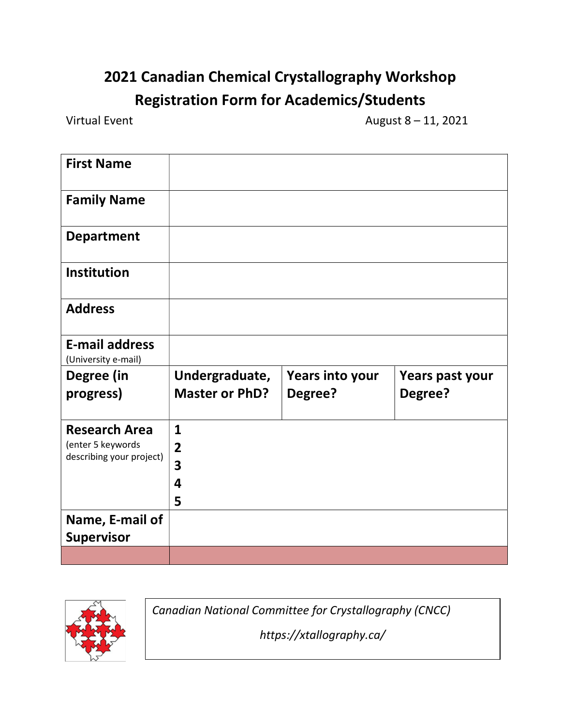## 2021 Canadian Chemical Crystallography Workshop Registration Form for Academics/Students

Virtual Event  $\sqrt{2}$  and  $\sqrt{2}$  and  $\sqrt{2}$  and  $\sqrt{2}$  and  $\sqrt{2}$  and  $\sqrt{2}$  and  $\sqrt{2}$  and  $\sqrt{2}$  and  $\sqrt{2}$  and  $\sqrt{2}$  and  $\sqrt{2}$  and  $\sqrt{2}$  and  $\sqrt{2}$  and  $\sqrt{2}$  and  $\sqrt{2}$  and  $\sqrt{2}$  and  $\sqrt{2}$  and  $\sqrt$ 

| <b>First Name</b>                             |                         |                 |                 |
|-----------------------------------------------|-------------------------|-----------------|-----------------|
| <b>Family Name</b>                            |                         |                 |                 |
| <b>Department</b>                             |                         |                 |                 |
| <b>Institution</b>                            |                         |                 |                 |
| <b>Address</b>                                |                         |                 |                 |
| <b>E-mail address</b><br>(University e-mail)  |                         |                 |                 |
| Degree (in                                    | Undergraduate,          | Years into your | Years past your |
| progress)                                     | <b>Master or PhD?</b>   | Degree?         | Degree?         |
| <b>Research Area</b>                          | 1                       |                 |                 |
| (enter 5 keywords<br>describing your project) | $\overline{2}$          |                 |                 |
|                                               | 3                       |                 |                 |
|                                               | $\overline{\mathbf{4}}$ |                 |                 |
|                                               | 5                       |                 |                 |
| Name, E-mail of                               |                         |                 |                 |
| <b>Supervisor</b>                             |                         |                 |                 |
|                                               |                         |                 |                 |



Canadian National Committee for Crystallography (CNCC)

https://xtallography.ca/